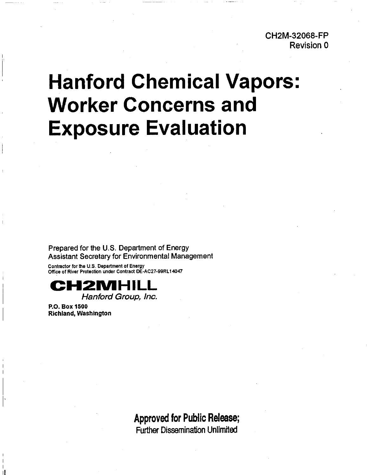**CH2M-32068-FP Revision 0** 

# **Hanford Chemical Vapors: Worker Concerns and Exposure Evaluation**

**Prepared for the U.S. Department of Energy Assistant Secretary for Environmental Management** 

**Conlractor for the US. Department of Energy Office of River Protection under Contract DE-AC27-99RL14047** 



**Hanford Group, Inc.** 

**P.O. Box 1500 Richland, Washington** 

> **Approved for Public Release; Further Dissemination Unlimited**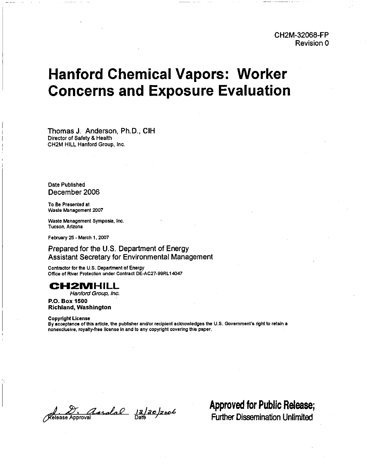# **Hanford Chemical Vapors: Worker Concerns and Exposure Evaluation**

Thomas J. Anderson, Ph.D., CIH Director of **Safety** *8* Health **CHZM** HILL Hanford Group. Inc.

**Date** Published December 2006

To Be Presented at Waste Management 2007

Waste Management Symposia. Inc Tucson. Arizona

February 25 - March 1, 2007

# Prepared for the U.S. Department of Energy Assistant Secretary for Environmental Management

Contractor for the U.S. Department of Energy Office of River Protection under Contract DE-AC27-99RL14047

# **CHZMHILL**

Hanford Group, Inc.

**P.O. Box 1500 Richland, Washington** 

#### **Copyright License**

By acceptance of this article, the publisher and/or recipient acknowledges the U.S. Government's right to retain a nonexclusive, royalty-free license in and to any copyright covering this paper.

Release Approval de la 20/2006

**Approved for Public Release;**  Further Dissemination Unlimited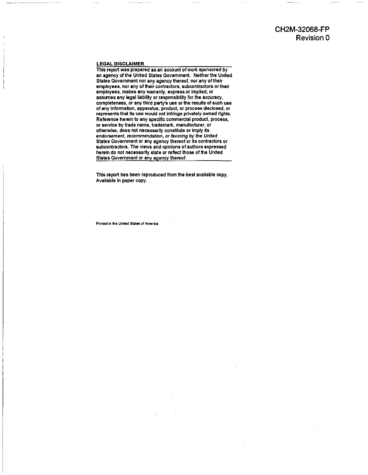# **CH2M-32068-FP Revision 0**

#### LEGAL DISCIAIMER

This report was prepared as an account of work sponsored by an agency of the United States Government. Neither the United States Government nor any agency thereof, nor any of their employees, nor any of their contractors, subcontractors or their employees, makes any warranty, express or implied, or assumes any legal liability or responsibility for the accuracy. completeness. or any third party's use or the results of such use ofany information, apparatus, product, or process disclosed, or represents that its use would not infringe privately owned rights. Reference herein to any specific commercial product, process, or sewice by trade name, trademark, manufacturer, or otherwise, does not necessarily constitute or imply its endorsement, recommendation, or favoring by the United States Government or any agency thereof or is contractors or subcontractors. The views and opinions of authors expressed herein do not necessarily state or reflect those of the United States Government or any agency thereof.

This report has been reproduced from the best avallable copy. Available in paper copy.

Printed in the United States of America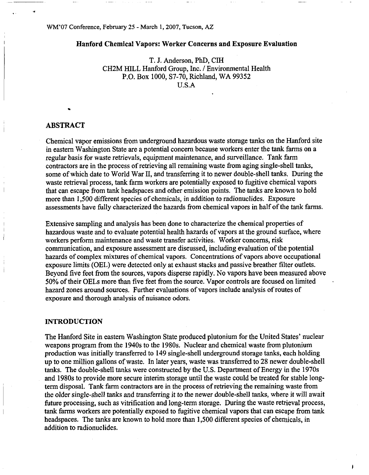## <sup>I</sup>Hanford Chemical Vapors: Worker Concerns and Exposure Evaluation

T. J. Anderson, **PhD,** CIH CH2M HILL Hanford Group, Inc. / Environmental Health **P.O.** Box 1000, S7-70, Richland, WA 99352 U.S.A

## **ABSTRACT**

I

Chemical vapor emissions from underground hazardous waste storage tanks on the Hanford site in eastern Washington State are a potential concern because workers enter the tank farms on a regular basis for waste retrievals, equipment maintenance, and surveillance. Tank farm contractors are in the process of retrieving all remaining waste from aging single-shell tanks, some of which date to World War 11, and transferring it to newer double-shell tanks. During the waste retrieval process, tank farm workers are potentially exposed to fugitive chemical vapors that can escape from tank headspaces and other emission points. The tanks are known to hold more than 1,500 different species of chemicals, in addition to radionuclides. Exposure assessments have fully characterized the hazards from chemical vapors in half of the tank farms.

Extensive sampling and analysis has been done to characterize the chemical properties of hazardous waste and to evaluate potential health hazards of vapors at the ground surface, where workers perform maintenance and waste transfer activities. Worker concerns, risk communication, and exposure assessment are discussed, including evaluation of the potential hazards of complex mixtures of chemical vapors. Concentrations of vapors above occupational exposure limits (OEL) were detected only at exhaust stacks and passive breather filter outlets. Beyond five feet from the sources, vapors disperse rapidly. No vapors have been measured above 50% of their OELs more than five feet from the source. Vapor controls are focused on limited hazard zones around sources. Further evaluations of vapors include analysis of routes of exposure and thorough analysis of nuisance odors.

#### **INTRODUCTION**

The Hanford Site in eastern Washington State produced plutonium for the United States' nuclear weapons program from the 1940s to the 1980s. Nuclear and chemical waste from plutonium production was initially transferred to 149 single-shell underground storage tanks, each holding up to one million gallons of waste. In later years, waste was transferred to 28 newer double-shell tanks. The double-shell tanks were constructed by the **US.** Department of Energy in the 1970s and 1980s to provide more secure interim storage until the waste could be treated for stable longterm disposal. Tank farm contractors are in the process of retrieving the remaining waste from the older single-shell tanks and transferring it to the newer double-shell tanks, where it will await future processing, such as vitrification and long-term storage. During the waste retrieval process, tank farms workers are potentially exposed to fugitive chemical vapors that can escape from tank headspaces. The tanks are known to hold more than 1,500 different species of chemicals, in addition to radionuclides.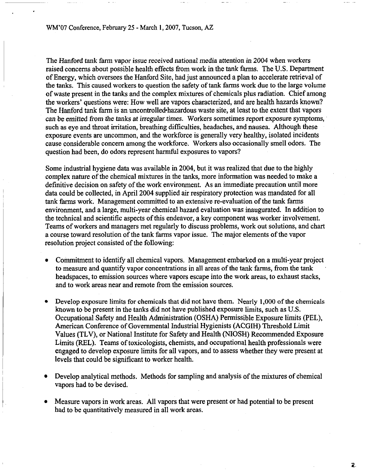The Hanford tank farm vapor issue received national media attention in 2004 when workers raised concerns about possible health effects from work in the tank farms. The US. Department of Energy, which oversees the Hanford Site, had just announced a plan to accelerate retrieval of the tanks. This caused workers to question the safety of tank farms work due to the large volume of waste present in the tanks and the complex mixtures of chemicals plus radiation. Chief among the workers' questions were: How well are vapors characterized, and are health hazards known? The Hanford tank farm is an uncontrolled-hazardous waste site, at least to the extent that vapors can be emitted from the tanks at irregular times. Workers sometimes report exposure symptoms, such as eye and throat irritation, breathing difficulties, headaches, and nausea. Although these exposure events are uncommon, and the workforce is generally very healthy, isolated incidents cause considerable concern among the workforce. Workers also occasionally smell odors. The question had been, do odors represent harmful exposures to vapors?

Some industrial hygiene data was available in 2004, but it was realized that due to the highly complex nature of the chemical mixtures in the tanks, more information was needed to make a definitive decision on safety of the work environment. As an immediate precaution until more data could be collected, in April 2004 supplied air respiratory protection was mandated for all tank farms work. Management committed to an extensive re-evaluation of the tank farms environment, and a large, multi-year chemical hazard evaluation was inaugurated. In addition to the technical and scientific aspects of this endeavor, a key component was worker involvement. Teams of workers and managers met regularly to discuss problems, work out solutions, and chart a course toward resolution of the tank farms vapor issue. The major elements of the vapor resolution project consisted of the following:

- Commitment to identify all chemical vapors. Management embarked on a multi-year project to measure and quantify vapor concentrations in all areas of the tank farms, from the tank headspaces, to emission sources where vapors escape into the work areas, to exhaust stacks, and to work areas near and remote from the emission sources.
- Develop exposure limits for chemicals that did not have them. Nearly 1,000 of the chemicals known to be present in the tanks did not have published exposure limits, such as U.S. Occupational Safety and Health Administration (OSHA) Permissible Exposure limits (PEL), American Conference of Governmental Industrial Hygienists (ACGIH) Threshold Limit Values (TLV), or National Institute for Safety and Health (NIOSH) Recommended Exposure Limits **(REL).** Teams of toxicologists, chemists, and occupational health professionals were engaged to develop exposure limits for all vapors, and to assess whether they were present at levels that could be significant to worker health.
- Develop analytical methods. Methods for sampling and analysis of the mixtures of chemical vapors had to be devised.
- Measure vapors in work areas. All vapors that were present or had potential to be present had to be quantitatively measured in all work areas.

 $\mathbf{z}$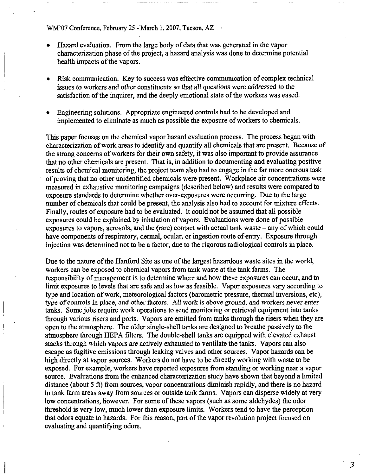- Hazard evaluation. From the large body of data that was generated in the vapor  $\bullet$ characterization phase of the project, a hazard analysis was done to determine potential health impacts of the vapors.
- **0** Risk communication. Key to success was effective communication of complex technical issues to workers and other constituents so that all questions were addressed to the satisfaction of the inquirer, and the deeply emotional state of the workers was eased.
- Engineering solutions. Appropriate engineered controls had to be developed and implemented to eliminate as much as possible the exposure of workers to chemicals.

This paper focuses on the chemical vapor hazard evaluation process. The process began with characterization of work areas to identify and quantify all chemicals that are present. Because of the strong concerns of workers for their own safety, it was also important to provide assurance that no other chemicals are present. That is, in addition to documenting and evaluating positive results of chemical monitoring, the project team also had to engage in the far more onerous task of proving that no other unidentified chemicals were present. Workplace air concentrations were measured in exhaustive monitoring campaigns (described below) and results were compared to exposure standards to determine whether over-exposures were occurring. Due to the large number of chemicals that could be present, the analysis also had to account for mixture effects. Finally, routes of exposure had to be evaluated. It could not be assumed that all possible exposures could be explained by inhalation of vapors. Evaluations were done of possible exposures to vapors, aerosols, and the (rare) contact with actual tank waste  $-$  any of which could have components of respiratory, dermal, ocular, or ingestion route of entry. Exposure through injection was determined not to be a factor, due to the rigorous radiological controls in place.

Due to the nature of the Hanford Site as one of the largest hazardous waste sites in the world, workers can be exposed to chemical vapors from tank waste at the tank farms. The responsibility of management is to determine where and how these exposures can occur, and to limit exposures to levels that are safe and as low as feasible. Vapor exposures vary according to type and location of work, meteorological factors (barometric pressure, thermal inversions, etc), type of controls in place, and other factors. All work is above ground, and workers never enter tanks. Some jobs require work operations to send monitoring or retrieval equipment into tanks through various risers and ports. Vapors are emitted from tanks through the risers when they are open to the atmosphere. The older single-shell tanks are designed to breathe passively to the atmosphere through **HEPA** filters. The double-shell tanks are equipped with elevated exhaust stacks through which vapors are actively exhausted to ventilate the tanks. Vapors can also escape as fugitive emissions through leaking valves and other sources. Vapor hazards can be high directly at vapor sources. Workers do not have to be directly working with waste to be exposed. For example, workers have reported exposures from standing or working near a vapor source. Evaluations from the enhanced characterization study have shown that beyond a limited distance (about 5 **ft)** from sources, vapor concentrations diminish rapidly, and there is no hazard in tank farm areas away from sources or outside tank farms. Vapors can disperse widely at very low concentrations, however. For some of these vapors (such as some aldehydes) the odor threshold is very low, much lower than exposure limits. Workers tend to have the perception that odors equate to hazards. For this reason, part of the vapor resolution project focused on evaluating and quantifying odors.

3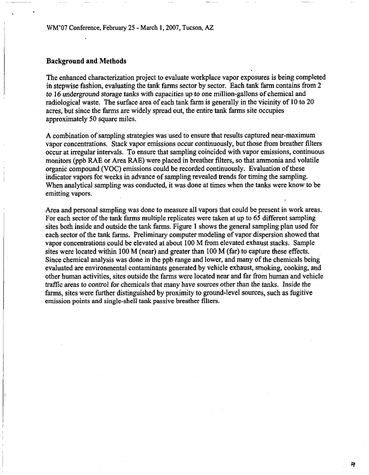# Background and Methods

The enhanced characterization project to evaluate workplace vapor exposures is being completed in stepwise fashion, evaluating the tank farms sector by sector. Each tank farm contains from 2 to 16 underground storage tanks with capacities up to one million-gallons of chemical and radiological waste. The surface area of each tank farm is generally in the vicinity of 10 to 20 acres, but since the farms are widely spread out, the entire tank farms site occupies approximately 50 square miles.

A combination of sampling strategies was used to ensure that results captured near-maximum vapor concentrations. Stack vapor emissions occur continuously, but those from breather filters occur at irregular intervals. To ensure that sampling coincided with vapor emissions, continuous monitors (ppb RAE or Area RAE) were placed in breather filters, so that ammonia and volatile organic compound *(VOC)* emissions could be recorded continuously. Evaluation of these indicator vapors for weeks in advance of sampling revealed trends for timing the sampling. When analytical sampling was conducted, it was done at times when the tanks were know to be emitting vapors.

Area and personal sampling was done to measure all vapors that could be present in work areas. For each sector of the tank farms multiple replicates were taken at up to 65 different sampling sites both inside and outside the tank farms. Figure 1 shows the general sampling plan used for each sector of the tank farms. Preliminary computer modeling of vapor dispersion showed that vapor concentrations could be elevated at about 100 M from elevated exhaust stacks. Sample sites were located within 100 M (near) and greater than 100 M (far) to capture these effects. Since chemical analysis was done in the ppb range and lower, and many of the chemicals being evaluated are environmental contaminants generated by vehicle exhaust, smoking, cooking, and other human activities, sites outside the farms were located near and far from human and vehicle traffic areas to control for chemicals that many have sources other than the tanks. Inside the farms, sites were further distinguished by proximity to ground-level sources, such as fugitive emission points and single-shell tank passive breather filters.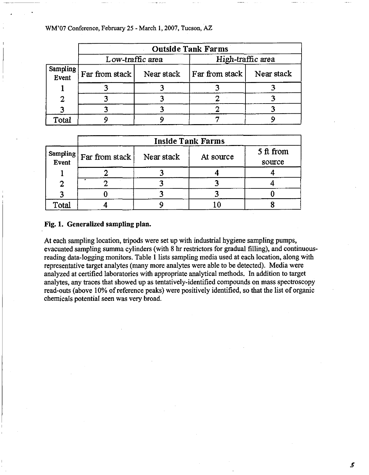|                   | <b>Outside Tank Farms</b> |            |                   |            |  |
|-------------------|---------------------------|------------|-------------------|------------|--|
|                   | Low-traffic area          |            | High-traffic area |            |  |
| Sampling<br>Event | Far from stack            | Near stack | Far from stack    | Near stack |  |
|                   |                           |            |                   |            |  |
| 2                 |                           |            |                   |            |  |
|                   |                           |            |                   |            |  |
| Total             |                           |            |                   |            |  |

|       | <b>Inside Tank Farms</b>                                                             |            |           |                     |  |  |
|-------|--------------------------------------------------------------------------------------|------------|-----------|---------------------|--|--|
|       | $\begin{array}{c c}\n\text{Sampling} & \text{Far from stack} \\ \hline\n\end{array}$ | Near stack | At source | 5 ft from<br>source |  |  |
|       |                                                                                      |            |           |                     |  |  |
|       |                                                                                      |            |           |                     |  |  |
|       |                                                                                      |            |           |                     |  |  |
| Total |                                                                                      |            |           |                     |  |  |

#### Fig. 1. Generalized sampling plan.

At each sampling location, tripods were set up with industrial hygiene sampling pumps, evacuated sampling summa cylinders (with 8 hr restrictors for gradual filling), and continuousreading data-logging monitors. Table 1 lists sampling media used at each location, along with representative target analytes (many more analytes were able to be detected). Media were analyzed at certified laboratories with appropriate analytical methods. In addition to target analytes, any traces that showed up as tentatively-identified compounds on mass spectroscopy read-outs (above 10% of reference peaks) were positively identified, so that the list of organic chemicals potential seen was very broad.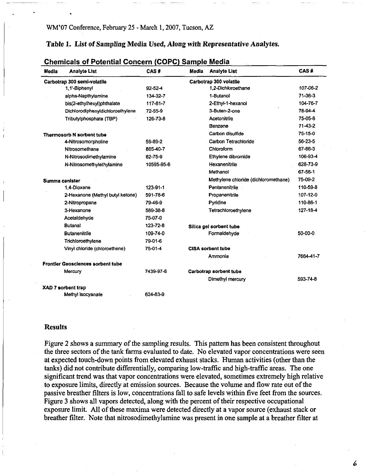-- - - --

Table 1. List of Sampling Media Used, Along with Representative Analytes.

| <b>Media</b> | <b>Analyte List</b>                      | CAS#          | Media | <b>Analyte List</b>                  | CAS#           |
|--------------|------------------------------------------|---------------|-------|--------------------------------------|----------------|
|              | Carbotrap 300 semi-volatile              |               |       | Carbotrap 300 volatile               |                |
|              | 1.1'-Biphenyl                            | $92 - 52 - 4$ |       | 1.2-Dichloroethane                   | 107-06-2       |
|              | alpha-Napthylamine                       | 134-32-7      |       | 1-Butanol                            | $71 - 36 - 3$  |
|              | bis(2-ethylhexyl)phthalate               | 117-81-7      |       | 2-Ethyl-1-hexanol                    | 104-76-7       |
|              | Dichlorodiphenyldichloroethylene         | 72-55-9       |       | 3-Buten-2-one                        | 78-94-4        |
|              | Tributylphosphate (TBP)                  | 126-73-8      |       | Acetonitrile                         | 75-05-8        |
|              |                                          |               |       | Benzene                              | $71-43-2$      |
|              | <b>Thermosorb N sorbent tube</b>         |               |       | Carbon disulfide                     | 75-15-0        |
|              | 4-Nitrosomorpholine                      | 59-89-2       |       | Carbon Tetrachloride                 | 56-23-5        |
|              | Nitrosomethane                           | 865-40-7      |       | Chloroform                           | 67-66-3        |
|              | N-Nitrosodimethylamine                   | 62-75-9       |       | Ethylene dibromide                   | 106-93-4       |
|              | N-Nitrosomethylethylamine                | 10595-95-6    |       | Hexanenitrile                        | 628-73-9       |
|              |                                          |               |       | Methanol                             | 67-56-1        |
|              | Summa canister                           |               |       | Methylene chloride (dichloromethane) | 75-09-2        |
|              | 1.4-Dioxane                              | 123-91-1      |       | Pentanenitrile                       | 110-59-8       |
|              | 2-Hexanone (Methyl butyl ketone)         | 591-78-6      |       | Propanenitrile                       | 107-12-0       |
|              | 2-Nitropropane                           | 79-46-9       |       | Pyridine                             | 110-86-1       |
|              | 3-Hexanone                               | 589-38-8      |       | Tetrachloroethylene                  | $127 - 18 - 4$ |
|              | Acetaldehyde                             | 75-07-0       |       |                                      |                |
|              | <b>Butanal</b>                           | 123-72-8      |       | Silica gel sorbent tube              |                |
|              | <b>Butanenitrile</b>                     | 109-74-0      |       | Formaldehyde                         | 50-00-0        |
|              | Trichloroethylene                        | 79-01-6       |       |                                      |                |
|              | Vinyl chloride (chloroethene)            | 75-01-4       |       | <b>CISA sorbent tube</b>             |                |
|              |                                          |               |       | Ammonia                              | 7664-41-7      |
|              | <b>Frontier Geosciences sorbent tube</b> |               |       |                                      |                |
|              | Mercury                                  | 7439-97-6     |       | Carbotrap sorbent tube               |                |
|              |                                          |               |       | Dimethyl mercury                     | 593-74-8       |
|              | <b>XAD 7 sorbent trap</b>                |               |       |                                      |                |
|              | Methyl isocyanate                        | 624-83-9      |       |                                      |                |

# **Chemicals of Potential Concern (COPC) Sample Media**

#### Results

Figure 2 shows a summary of the sampling results. This pattern has been consistent throughout the three sectors of the tank farms evaluated to date. No elevated vapor concentrations were seen at expected touch-down points from elevated exhaust stacks. Human activities (other than the tanks) did not contribute differentially, comparing low-traffic and high-traffic areas. The one significant trend was that vapor concentrations were elevated, sometimes extremely high relative to exposure limits, directly at emission sources. Because the volume and flow rate out of the passive breather filters is low, concentrations fall to safe levels within five feet from the sources. Figure 3 shows all vapors detected, along with the percent of their respective occupational exposure limit. All of these maxima were detected directly at a vapor source (exhaust stack or breather filter. Note that nitrosodimethylamine was present in one sample at a breather filter at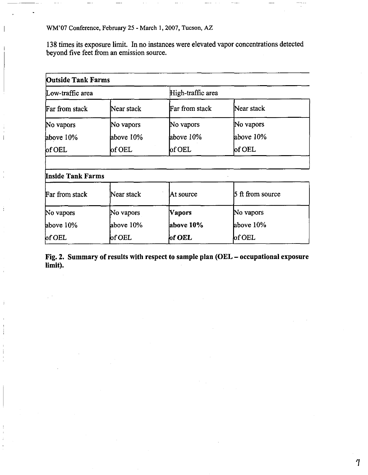above 10%

of OEL

above 10%

of OEL

138 times its exposure limit. In no instances were elevated vapor concentrations detected beyond five feet from an emission source.

| <b>Outside Tank Farms</b>            |              |                   |                  |  |
|--------------------------------------|--------------|-------------------|------------------|--|
| Low-traffic area                     |              | High-traffic area |                  |  |
| Far from stack                       | Near stack   | Far from stack    | Near stack       |  |
| No vapors                            | No vapors    | No vapors         | No vapors        |  |
| above 10%                            | above 10%    | above 10%         | above 10%        |  |
| $\operatorname{\sf \textbf{of}}$ OEL | $\sqrt{$ OEL | $\log$ OEL        | $ $ of OEL       |  |
| <b>Inside Tank Farms</b>             |              |                   |                  |  |
| Far from stack                       | Near stack   | At source         | 5 ft from source |  |
| No vapors                            | No vapors    | Vapors            | No vapors        |  |

Fig. 2. Summary of results with respect to sample plan (OEL - occupational exposure **limit).** 

**above 10%** 

**of OEL** 

above 10%

 $\mathbf 7$ 

of OEL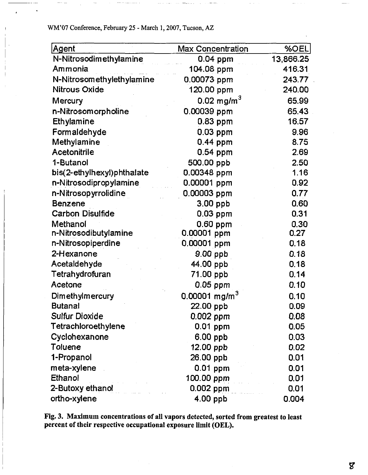| Agent                      | Max Concentration         | %OEL      |
|----------------------------|---------------------------|-----------|
| N-Nitrosodimethylamine     | $0.04$ ppm                | 13,866.25 |
| Ammonia                    | 104.08 ppm                | 416.31    |
| N-Nitrosomethylethylamine  | 0.00073 ppm               | 24377     |
| <b>Nitrous Oxide</b>       | 120.00 ppm                | 240.00    |
| Mercury                    | 0.02 mg/m $^{3}$          | 65.99     |
| n-Nitrosomorpholine        | 0.00039 ppm               | 65.43     |
| Ethylamine                 | $0.83$ ppm                | 16.57     |
| Formaldehyde               | $0.03$ ppm                | 9.96      |
| Methylamine                | 0.44 ppm                  | 8.75      |
| <b>Acetonitrile</b>        | 0.54 ppm                  | 2.69      |
| 1-Butanol                  | 500.00 ppb                | 2.50      |
| bis(2-ethylhexyl)phthalate | 0.00348 ppm               | 1.16      |
| n-Nitrosodipropylamine     | 0.00001 ppm               | 0.92      |
| n-Nitrosopyrrolidine       | 0.00003 ppm               | 0.77      |
| <b>Benzene</b>             | 3.00 ppb                  | 0.60      |
| <b>Carbon Disulfide</b>    | $0.03$ ppm                | 0.31      |
| Methanol                   | $0.60$ ppm                | 0.30      |
| n-Nitrosodibutylamine      | 0.00001 ppm               | 0.27      |
| n-Nitrosopiperdine         | 0.00001 ppm               | 0.18      |
| 2-Hexanone                 | 9.00 ppb                  | 0.18      |
| Acetaldehyde               | 44.00 ppb                 | 0.18      |
| Tetrahydrofuran            | 71.00 ppb                 | 0.14      |
| Acetone                    | 0.05 ppm                  | 0.10      |
| <b>Dimethylmercury</b>     | 0.00001 mg/m <sup>3</sup> | 0.10      |
| <b>Butanal</b>             | 22.00 ppb                 | 0.09      |
| Sulfur Dioxide             | 0.002 ppm                 | 0.08      |
| Tetrachloroethylene        | 0.01 ppm                  | 0.05      |
| Cyclohexanone              | $6.00$ ppb                | 0.03      |
| Toluene                    | $12.00$ ppb               | 0.02      |
| 1-Propanol                 | 26.00 ppb                 | 0.01      |
| meta-xylene                | $0.01$ ppm                | 0.01      |
| Ethanol                    | 100.00 ppm                | 0.01      |
| 2-Butoxy ethanol           | $0.002$ ppm               | 0.01      |
| ortho-xylene               | $4.00$ ppb                | 0.004     |

**Fig. 3. Maximum concentrations of all vapors detected, sorted from greatest to least percent of their respective occupational exposure limit (OEL).** 

 $\pmb{Z}$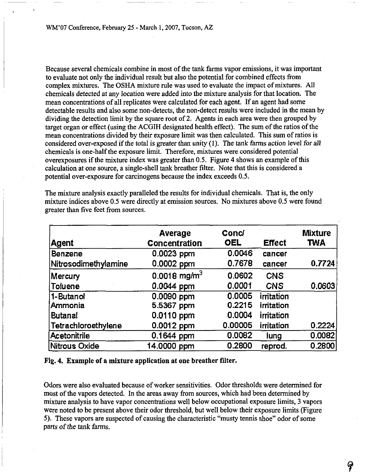Because several chemicals combine in most of the tank farms vapor emissions, it was important to evaluate not only the individual result but also the potential for combined effects from complex mixtures. The OSHA mixture rule was used to evaluate the impact of mixtures. All chemicals detected at any location were added into the mixture analysis for that location. The mean concentrations of all replicates were calculated for each agent. If an agent had some detectable results and also some non-detects, the non-detect results were included in the mean by dividing the detection limit by the square root of 2. Agents in each area were then grouped by target organ or effect (using the ACGIH designated health effect). The sum of the ratios of the mean concentrations divided by their exposure limit was then calculated. This sum of ratios is considered over-exposed if the total is greater than unity (1). The tank farms action level for all chemicals is one-half the exposure limit. Therefore, mixtures were considered potential overexposures if the mixture index was greater than **0.5.** Figure 4 shows an example of this calculation at one source, a single-shell tank breather filter. Note that this is considered a potential over-exposure for carcinogens because the index exceeds **0.5.** 

| <b>Agent</b>         | Average<br>Concentration   | Concl<br><b>OEL</b> | <b>Effect</b> | <b>Mixture</b><br><b>TWA</b> |
|----------------------|----------------------------|---------------------|---------------|------------------------------|
| Benzene              | 0.0023 ppm                 | 0.0046              | cancer        |                              |
| Nitrosodimethylamine | 0.0002 ppm                 | 0.7678              | cancer        | 0.7724                       |
| Mercury              | $0.0018$ mg/m <sup>3</sup> | 0.0602              | <b>CNS</b>    |                              |
| <b>Toluene</b>       | 0.0044 ppm                 | 0.0001              | <b>CNS</b>    | 0.0603                       |
| 1-Butanol            | 0.0090 ppm                 | 0.0005              | irritation    |                              |
| Ammonia              | 5.5367 ppm                 | 0.2215              | irritation    |                              |
| <b>Butanal</b>       | 0.0110 ppm                 | 0.0004              | irritation    |                              |
| Tetrachloroethylene  | 0.0012 ppm                 | 0.00005             | irritation    | 0.2224                       |
| <b>Acetonitrile</b>  | 0.1644 ppm                 | 0.0082              | lung          | 0.0082                       |
| Nitrous Oxide        | 14.0000 ppm                | 0.2800              | reprod.       | 0.2800                       |

The mixture analysis exactly paralleled the results for individual chemicals. That is, the only mixture indices above **0.5** were directly at emission sources. No mixtures above **0.5** were found greater than five feet from sources.

# Fig. 4. Example of a mixture application at one breather filter.

Odors were also evaluated because of worker sensitivities. Odor thresholds were determined for most of the vapors detected. In the areas away from sources, which had been determined by mixture analysis to have vapor concentrations well below occupational exposure limits, 3 vapors were noted to be present above their odor threshold, but well below their exposure limits (Figure **5).** These vapors are suspected of causing the characteristic "musty tennis shoe" odor of some parts of the tank farms.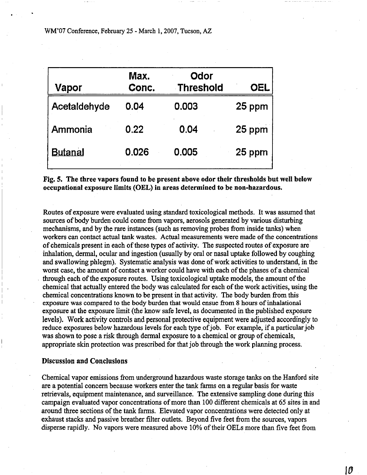| Vapor          | Max.<br>Conc. | Odor<br><b>Threshold</b> | OEL    |
|----------------|---------------|--------------------------|--------|
| Acetaldehyde   | 0.04          | 0.003                    | 25 ppm |
| Ammonia        | 0.22          | 0.04                     | 25 ppm |
| <b>Butanal</b> | 0.026         | 0.005                    | 25 ppm |

# Fig. 5. The three vapors found to be present above odor their thresholds but well below occupational exposure limits **(OEL)** in areas determined to be non-hazardous.

Routes of exposure were evaluated using standard toxicological methods. It was assumed that sources of body burden could come from vapors, aerosols generated by various disturbing mechanisms, and by the rare instances (such as removing probes from inside tanks) when workers can contact actual tank wastes.' Actual measurements were made of the concentrations of chemicals present in each of these types of activity. The suspected routes of exposure are inhalation, dermal, ocular and ingestion (usually by oral or nasal uptake followed by coughing and swallowing phlegm). Systematic analysis was done of work activities to understand, in the worst case, the amount of contact a worker could have with each of the phases of a chemical through each of the exposure routes. Using toxicological uptake models, the amount of the chemical that actually entered the body was calculated for each of the work activities, using the chemical concentrations known to be present in that activity. The body burden from this exposure was compared to the body burden that would ensue from 8 hours of inhalational exposure at the exposure limit (the know safe level, as documented in the published exposure levels). Work activity controls and personal protective equipment were adjusted accordingly to reduce exposures below hazardous levels for each type of job. For example, if a particular job was shown to pose a risk through dermal exposure to a chemical or group of chemicals, appropriate skin protection was prescribed for that job through the work planning process.

# Discussion and Conclusions

Chemical vapor emissions from underground hazardous waste storage tanks on the Hanford site are a potential concern because workers enter the tank farms on a regular basis for waste retrievals, equipment maintenance, and surveillance. The extensive sampling done during this campaign evaluated vapor concentrations of more than 100 different chemicals at 65 sites in and around three sections of the tank farms. Elevated vapor concentrations were detected only at exhaust stacks and passive breather filter outlets. Beyond five feet from the sources, vapors disperse rapidly. No vapors were measured above 10% of their OELs more than five feet from